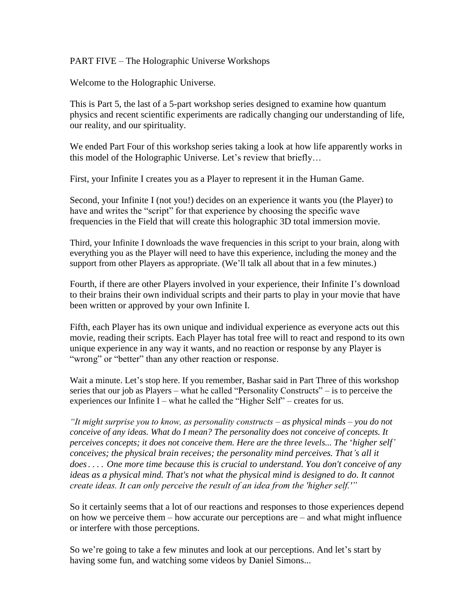PART FIVE – The Holographic Universe Workshops

Welcome to the Holographic Universe.

This is Part 5, the last of a 5-part workshop series designed to examine how quantum physics and recent scientific experiments are radically changing our understanding of life, our reality, and our spirituality.

We ended Part Four of this workshop series taking a look at how life apparently works in this model of the Holographic Universe. Let's review that briefly...

First, your Infinite I creates you as a Player to represent it in the Human Game.

Second, your Infinite I (not you!) decides on an experience it wants you (the Player) to have and writes the "script" for that experience by choosing the specific wave frequencies in the Field that will create this holographic 3D total immersion movie.

Third, your Infinite I downloads the wave frequencies in this script to your brain, along with everything you as the Player will need to have this experience, including the money and the support from other Players as appropriate. (We'll talk all about that in a few minutes.)

Fourth, if there are other Players involved in your experience, their Infinite I"s download to their brains their own individual scripts and their parts to play in your movie that have been written or approved by your own Infinite I.

Fifth, each Player has its own unique and individual experience as everyone acts out this movie, reading their scripts. Each Player has total free will to react and respond to its own unique experience in any way it wants, and no reaction or response by any Player is "wrong" or "better" than any other reaction or response.

Wait a minute. Let's stop here. If you remember, Bashar said in Part Three of this workshop series that our job as Players – what he called "Personality Constructs" – is to perceive the experiences our Infinite I – what he called the "Higher Self" – creates for us.

*"It might surprise you to know, as personality constructs – as physical minds – you do not conceive of any ideas. What do I mean? The personality does not conceive of concepts. It perceives concepts; it does not conceive them. Here are the three levels... The 'higher self' conceives; the physical brain receives; the personality mind perceives. That's all it does.... One more time because this is crucial to understand. You don't conceive of any ideas as a physical mind. That's not what the physical mind is designed to do. It cannot create ideas. It can only perceive the result of an idea from the 'higher self.'"*

So it certainly seems that a lot of our reactions and responses to those experiences depend on how we perceive them – how accurate our perceptions are – and what might influence or interfere with those perceptions.

So we're going to take a few minutes and look at our perceptions. And let's start by having some fun, and watching some videos by Daniel Simons...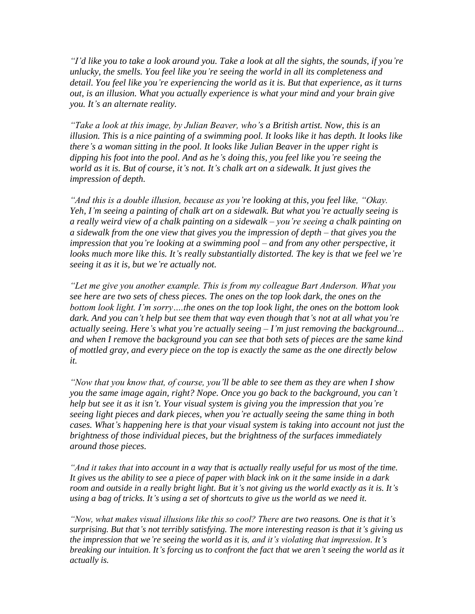*"I"d like you to take a look around you. Take a look at all the sights, the sounds, if you"re unlucky, the smells. You feel like you"re seeing the world in all its completeness and detail. You feel like you"re experiencing the world as it is. But that experience, as it turns out, is an illusion. What you actually experience is what your mind and your brain give you. It"s an alternate reality.*

*"Take a look at this image, by Julian Beaver, who"s a British artist. Now, this is an illusion. This is a nice painting of a swimming pool. It looks like it has depth. It looks like there"s a woman sitting in the pool. It looks like Julian Beaver in the upper right is dipping his foot into the pool. And as he"s doing this, you feel like you"re seeing the world as it is. But of course, it"s not. It"s chalk art on a sidewalk. It just gives the impression of depth.*

*"And this is a double illusion, because as you"re looking at this, you feel like, "Okay. Yeh, I"m seeing a painting of chalk art on a sidewalk. But what you"re actually seeing is a really weird view of a chalk painting on a sidewalk – you"re seeing a chalk painting on a sidewalk from the one view that gives you the impression of depth – that gives you the impression that you"re looking at a swimming pool – and from any other perspective, it*  looks much more like this. It's really substantially distorted. The key is that we feel we're *seeing it as it is, but we"re actually not.*

*"Let me give you another example. This is from my colleague Bart Anderson. What you see here are two sets of chess pieces. The ones on the top look dark, the ones on the bottom look light. I"m sorry….the ones on the top look light, the ones on the bottom look dark. And you can"t help but see them that way even though that"s not at all what you"re actually seeing. Here"s what you"re actually seeing – I"m just removing the background... and when I remove the background you can see that both sets of pieces are the same kind of mottled gray, and every piece on the top is exactly the same as the one directly below it.*

*"Now that you know that, of course, you"ll be able to see them as they are when I show you the same image again, right? Nope. Once you go back to the background, you can"t help but see it as it isn"t. Your visual system is giving you the impression that you"re seeing light pieces and dark pieces, when you"re actually seeing the same thing in both cases. What"s happening here is that your visual system is taking into account not just the brightness of those individual pieces, but the brightness of the surfaces immediately around those pieces.*

*"And it takes that into account in a way that is actually really useful for us most of the time. It gives us the ability to see a piece of paper with black ink on it the same inside in a dark room and outside in a really bright light. But it"s not giving us the world exactly as it is. It"s using a bag of tricks. It"s using a set of shortcuts to give us the world as we need it.*

*"Now, what makes visual illusions like this so cool? There are two reasons. One is that it"s surprising. But that"s not terribly satisfying. The more interesting reason is that it"s giving us the impression that we"re seeing the world as it is, and it"s violating that impression. It"s breaking our intuition. It"s forcing us to confront the fact that we aren"t seeing the world as it actually is.*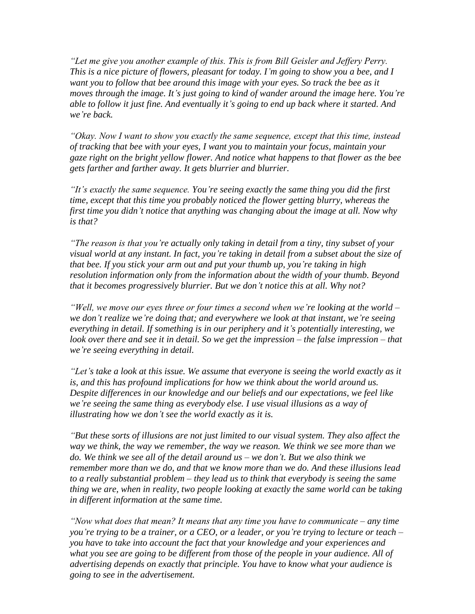*"Let me give you another example of this. This is from Bill Geisler and Jeffery Perry. This is a nice picture of flowers, pleasant for today. I"m going to show you a bee, and I want you to follow that bee around this image with your eyes. So track the bee as it moves through the image. It"s just going to kind of wander around the image here. You"re able to follow it just fine. And eventually it"s going to end up back where it started. And we"re back.*

*"Okay. Now I want to show you exactly the same sequence, except that this time, instead of tracking that bee with your eyes, I want you to maintain your focus, maintain your gaze right on the bright yellow flower. And notice what happens to that flower as the bee gets farther and farther away. It gets blurrier and blurrier.*

*"It"s exactly the same sequence. You"re seeing exactly the same thing you did the first time, except that this time you probably noticed the flower getting blurry, whereas the first time you didn"t notice that anything was changing about the image at all. Now why is that?*

*"The reason is that you"re actually only taking in detail from a tiny, tiny subset of your visual world at any instant. In fact, you"re taking in detail from a subset about the size of that bee. If you stick your arm out and put your thumb up, you"re taking in high resolution information only from the information about the width of your thumb. Beyond that it becomes progressively blurrier. But we don"t notice this at all. Why not?*

*"Well, we move our eyes three or four times a second when we"re looking at the world – we don"t realize we"re doing that; and everywhere we look at that instant, we"re seeing everything in detail. If something is in our periphery and it"s potentially interesting, we look over there and see it in detail. So we get the impression – the false impression – that we"re seeing everything in detail.*

*"Let"s take a look at this issue. We assume that everyone is seeing the world exactly as it is, and this has profound implications for how we think about the world around us. Despite differences in our knowledge and our beliefs and our expectations, we feel like we"re seeing the same thing as everybody else. I use visual illusions as a way of illustrating how we don"t see the world exactly as it is.*

*"But these sorts of illusions are not just limited to our visual system. They also affect the way we think, the way we remember, the way we reason. We think we see more than we do. We think we see all of the detail around us – we don"t. But we also think we remember more than we do, and that we know more than we do. And these illusions lead to a really substantial problem – they lead us to think that everybody is seeing the same thing we are, when in reality, two people looking at exactly the same world can be taking in different information at the same time.*

*"Now what does that mean? It means that any time you have to communicate – any time you"re trying to be a trainer, or a CEO, or a leader, or you"re trying to lecture or teach – you have to take into account the fact that your knowledge and your experiences and what you see are going to be different from those of the people in your audience. All of advertising depends on exactly that principle. You have to know what your audience is going to see in the advertisement.*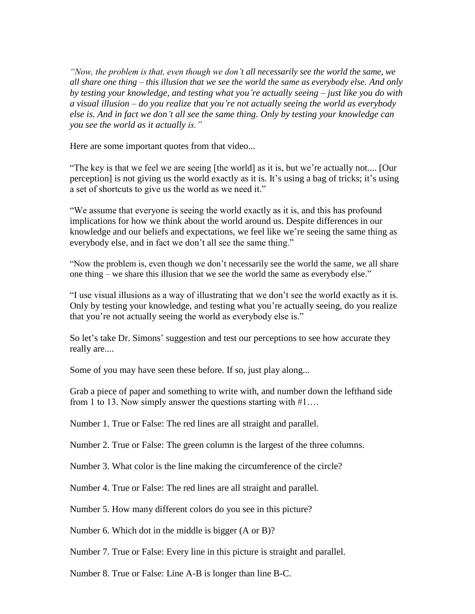*"Now, the problem is that, even though we don"t all necessarily see the world the same, we all share one thing – this illusion that we see the world the same as everybody else. And only by testing your knowledge, and testing what you"re actually seeing – just like you do with a visual illusion – do you realize that you"re not actually seeing the world as everybody else is. And in fact we don"t all see the same thing. Only by testing your knowledge can you see the world as it actually is."*

Here are some important quotes from that video...

"The key is that we feel we are seeing [the world] as it is, but we"re actually not.... [Our perception] is not giving us the world exactly as it is. It's using a bag of tricks; it's using a set of shortcuts to give us the world as we need it."

"We assume that everyone is seeing the world exactly as it is, and this has profound implications for how we think about the world around us. Despite differences in our knowledge and our beliefs and expectations, we feel like we"re seeing the same thing as everybody else, and in fact we don't all see the same thing."

"Now the problem is, even though we don"t necessarily see the world the same, we all share one thing – we share this illusion that we see the world the same as everybody else."

"I use visual illusions as a way of illustrating that we don"t see the world exactly as it is. Only by testing your knowledge, and testing what you"re actually seeing, do you realize that you"re not actually seeing the world as everybody else is."

So let's take Dr. Simons' suggestion and test our perceptions to see how accurate they really are....

Some of you may have seen these before. If so, just play along...

Grab a piece of paper and something to write with, and number down the lefthand side from 1 to 13. Now simply answer the questions starting with #1….

Number 1. True or False: The red lines are all straight and parallel.

Number 2. True or False: The green column is the largest of the three columns.

Number 3. What color is the line making the circumference of the circle?

Number 4. True or False: The red lines are all straight and parallel.

Number 5. How many different colors do you see in this picture?

Number 6. Which dot in the middle is bigger (A or B)?

Number 7. True or False: Every line in this picture is straight and parallel.

Number 8. True or False: Line A-B is longer than line B-C.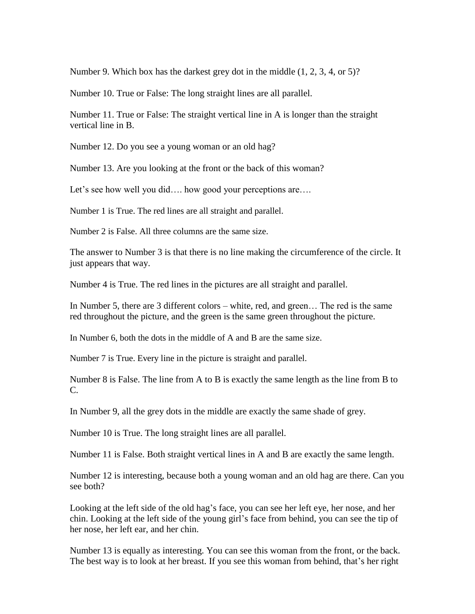Number 9. Which box has the darkest grey dot in the middle (1, 2, 3, 4, or 5)?

Number 10. True or False: The long straight lines are all parallel.

Number 11. True or False: The straight vertical line in A is longer than the straight vertical line in B.

Number 12. Do you see a young woman or an old hag?

Number 13. Are you looking at the front or the back of this woman?

Let's see how well you did…. how good your perceptions are….

Number 1 is True. The red lines are all straight and parallel.

Number 2 is False. All three columns are the same size.

The answer to Number 3 is that there is no line making the circumference of the circle. It just appears that way.

Number 4 is True. The red lines in the pictures are all straight and parallel.

In Number 5, there are 3 different colors – white, red, and green… The red is the same red throughout the picture, and the green is the same green throughout the picture.

In Number 6, both the dots in the middle of A and B are the same size.

Number 7 is True. Every line in the picture is straight and parallel.

Number 8 is False. The line from A to B is exactly the same length as the line from B to C.

In Number 9, all the grey dots in the middle are exactly the same shade of grey.

Number 10 is True. The long straight lines are all parallel.

Number 11 is False. Both straight vertical lines in A and B are exactly the same length.

Number 12 is interesting, because both a young woman and an old hag are there. Can you see both?

Looking at the left side of the old hag's face, you can see her left eye, her nose, and her chin. Looking at the left side of the young girl"s face from behind, you can see the tip of her nose, her left ear, and her chin.

Number 13 is equally as interesting. You can see this woman from the front, or the back. The best way is to look at her breast. If you see this woman from behind, that's her right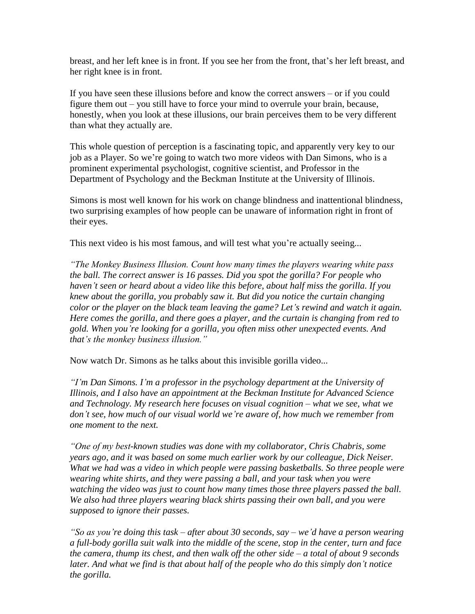breast, and her left knee is in front. If you see her from the front, that"s her left breast, and her right knee is in front.

If you have seen these illusions before and know the correct answers – or if you could figure them out – you still have to force your mind to overrule your brain, because, honestly, when you look at these illusions, our brain perceives them to be very different than what they actually are.

This whole question of perception is a fascinating topic, and apparently very key to our job as a Player. So we're going to watch two more videos with Dan Simons, who is a prominent experimental psychologist, cognitive scientist, and Professor in the Department of Psychology and the Beckman Institute at the University of Illinois.

Simons is most well known for his work on change blindness and inattentional blindness, two surprising examples of how people can be unaware of information right in front of their eyes.

This next video is his most famous, and will test what you're actually seeing...

*"The Monkey Business Illusion. Count how many times the players wearing white pass the ball. The correct answer is 16 passes. Did you spot the gorilla? For people who haven"t seen or heard about a video like this before, about half miss the gorilla. If you knew about the gorilla, you probably saw it. But did you notice the curtain changing color or the player on the black team leaving the game? Let"s rewind and watch it again. Here comes the gorilla, and there goes a player, and the curtain is changing from red to gold. When you"re looking for a gorilla, you often miss other unexpected events. And that"s the monkey business illusion."*

Now watch Dr. Simons as he talks about this invisible gorilla video...

*"I"m Dan Simons. I"m a professor in the psychology department at the University of Illinois, and I also have an appointment at the Beckman Institute for Advanced Science and Technology. My research here focuses on visual cognition – what we see, what we don"t see, how much of our visual world we"re aware of, how much we remember from one moment to the next.*

*"One of my best-known studies was done with my collaborator, Chris Chabris, some years ago, and it was based on some much earlier work by our colleague, Dick Neiser. What we had was a video in which people were passing basketballs. So three people were wearing white shirts, and they were passing a ball, and your task when you were watching the video was just to count how many times those three players passed the ball. We also had three players wearing black shirts passing their own ball, and you were supposed to ignore their passes.*

*"So as you"re doing this task – after about 30 seconds, say – we"d have a person wearing a full-body gorilla suit walk into the middle of the scene, stop in the center, turn and face the camera, thump its chest, and then walk off the other side – a total of about 9 seconds later. And what we find is that about half of the people who do this simply don"t notice the gorilla.*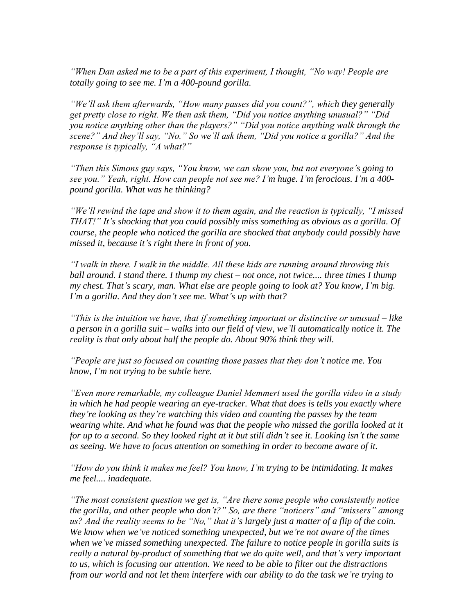*"When Dan asked me to be a part of this experiment, I thought, "No way! People are totally going to see me. I"m a 400-pound gorilla.*

*"We"ll ask them afterwards, "How many passes did you count?", which they generally get pretty close to right. We then ask them, "Did you notice anything unusual?" "Did you notice anything other than the players?" "Did you notice anything walk through the scene?" And they"ll say, "No." So we"ll ask them, "Did you notice a gorilla?" And the response is typically, "A what?"*

*"Then this Simons guy says, "You know, we can show you, but not everyone"s going to see you." Yeah, right. How can people not see me? I"m huge. I"m ferocious. I"m a 400 pound gorilla. What was he thinking?*

*"We"ll rewind the tape and show it to them again, and the reaction is typically, "I missed THAT!" It's shocking that you could possibly miss something as obvious as a gorilla. Of course, the people who noticed the gorilla are shocked that anybody could possibly have missed it, because it"s right there in front of you.*

*"I walk in there. I walk in the middle. All these kids are running around throwing this ball around. I stand there. I thump my chest – not once, not twice.... three times I thump my chest. That"s scary, man. What else are people going to look at? You know, I"m big. I"m a gorilla. And they don"t see me. What"s up with that?*

*"This is the intuition we have, that if something important or distinctive or unusual – like a person in a gorilla suit – walks into our field of view, we"ll automatically notice it. The reality is that only about half the people do. About 90% think they will.*

*"People are just so focused on counting those passes that they don"t notice me. You know, I"m not trying to be subtle here.*

*"Even more remarkable, my colleague Daniel Memmert used the gorilla video in a study in which he had people wearing an eye-tracker. What that does is tells you exactly where they"re looking as they"re watching this video and counting the passes by the team*  wearing white. And what he found was that the people who missed the gorilla looked at it *for up to a second. So they looked right at it but still didn"t see it. Looking isn"t the same as seeing. We have to focus attention on something in order to become aware of it.*

*"How do you think it makes me feel? You know, I"m trying to be intimidating. It makes me feel.... inadequate.*

*"The most consistent question we get is, "Are there some people who consistently notice the gorilla, and other people who don"t?" So, are there "noticers" and "missers" among us? And the reality seems to be "No," that it"s largely just a matter of a flip of the coin. We know when we"ve noticed something unexpected, but we"re not aware of the times when we"ve missed something unexpected. The failure to notice people in gorilla suits is really a natural by-product of something that we do quite well, and that"s very important to us, which is focusing our attention. We need to be able to filter out the distractions from our world and not let them interfere with our ability to do the task we"re trying to*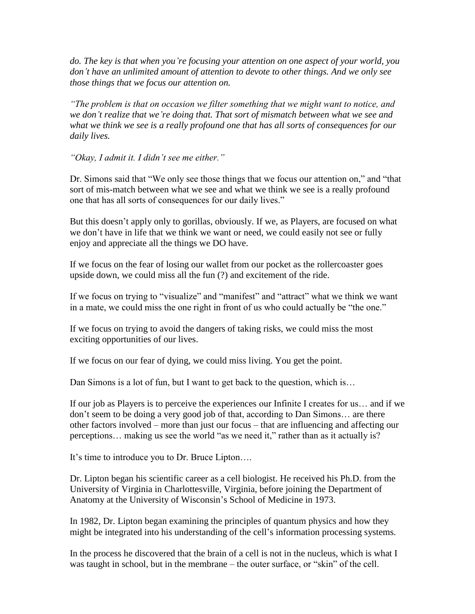*do. The key is that when you"re focusing your attention on one aspect of your world, you don"t have an unlimited amount of attention to devote to other things. And we only see those things that we focus our attention on.*

*"The problem is that on occasion we filter something that we might want to notice, and we don"t realize that we"re doing that. That sort of mismatch between what we see and what we think we see is a really profound one that has all sorts of consequences for our daily lives.*

*"Okay, I admit it. I didn"t see me either."*

Dr. Simons said that "We only see those things that we focus our attention on," and "that sort of mis-match between what we see and what we think we see is a really profound one that has all sorts of consequences for our daily lives."

But this doesn't apply only to gorillas, obviously. If we, as Players, are focused on what we don"t have in life that we think we want or need, we could easily not see or fully enjoy and appreciate all the things we DO have.

If we focus on the fear of losing our wallet from our pocket as the rollercoaster goes upside down, we could miss all the fun (?) and excitement of the ride.

If we focus on trying to "visualize" and "manifest" and "attract" what we think we want in a mate, we could miss the one right in front of us who could actually be "the one."

If we focus on trying to avoid the dangers of taking risks, we could miss the most exciting opportunities of our lives.

If we focus on our fear of dying, we could miss living. You get the point.

Dan Simons is a lot of fun, but I want to get back to the question, which is...

If our job as Players is to perceive the experiences our Infinite I creates for us… and if we don"t seem to be doing a very good job of that, according to Dan Simons… are there other factors involved – more than just our focus – that are influencing and affecting our perceptions… making us see the world "as we need it," rather than as it actually is?

It's time to introduce you to Dr. Bruce Lipton....

Dr. Lipton began his scientific career as a cell biologist. He received his Ph.D. from the University of Virginia in Charlottesville, Virginia, before joining the Department of Anatomy at the University of Wisconsin"s School of Medicine in 1973.

In 1982, Dr. Lipton began examining the principles of quantum physics and how they might be integrated into his understanding of the cell"s information processing systems.

In the process he discovered that the brain of a cell is not in the nucleus, which is what I was taught in school, but in the membrane – the outer surface, or "skin" of the cell.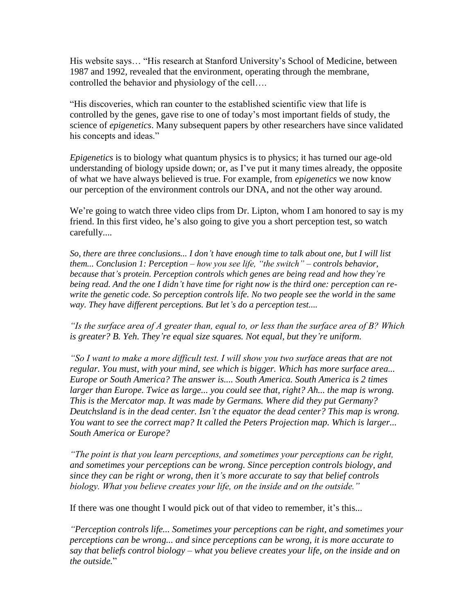His website says… "His research at Stanford University"s School of Medicine, between 1987 and 1992, revealed that the environment, operating through the membrane, controlled the behavior and physiology of the cell….

"His discoveries, which ran counter to the established scientific view that life is controlled by the genes, gave rise to one of today"s most important fields of study, the science of *epigenetics*. Many subsequent papers by other researchers have since validated his concepts and ideas."

*Epigenetics* is to biology what quantum physics is to physics; it has turned our age-old understanding of biology upside down; or, as I"ve put it many times already, the opposite of what we have always believed is true. For example, from *epigenetics* we now know our perception of the environment controls our DNA, and not the other way around.

We're going to watch three video clips from Dr. Lipton, whom I am honored to say is my friend. In this first video, he"s also going to give you a short perception test, so watch carefully....

*So, there are three conclusions... I don"t have enough time to talk about one, but I will list them... Conclusion 1: Perception – how you see life, "the switch" – controls behavior, because that"s protein. Perception controls which genes are being read and how they"re being read. And the one I didn"t have time for right now is the third one: perception can rewrite the genetic code. So perception controls life. No two people see the world in the same way. They have different perceptions. But let"s do a perception test....*

*"Is the surface area of A greater than, equal to, or less than the surface area of B? Which is greater? B. Yeh. They"re equal size squares. Not equal, but they"re uniform.*

*"So I want to make a more difficult test. I will show you two surface areas that are not regular. You must, with your mind, see which is bigger. Which has more surface area... Europe or South America? The answer is.... South America. South America is 2 times*  larger than Europe. Twice as large... you could see that, right? Ah... the map is wrong. *This is the Mercator map. It was made by Germans. Where did they put Germany? Deutchsland is in the dead center. Isn"t the equator the dead center? This map is wrong. You want to see the correct map? It called the Peters Projection map. Which is larger... South America or Europe?*

*"The point is that you learn perceptions, and sometimes your perceptions can be right, and sometimes your perceptions can be wrong. Since perception controls biology, and since they can be right or wrong, then it"s more accurate to say that belief controls biology. What you believe creates your life, on the inside and on the outside."*

If there was one thought I would pick out of that video to remember, it"s this...

*"Perception controls life... Sometimes your perceptions can be right, and sometimes your perceptions can be wrong... and since perceptions can be wrong, it is more accurate to say that beliefs control biology – what you believe creates your life, on the inside and on the outside.*"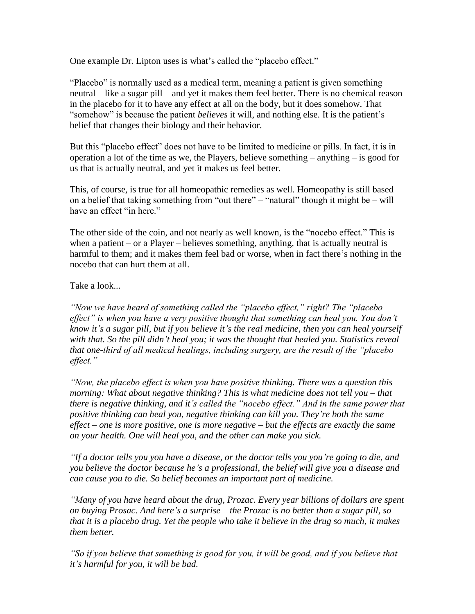One example Dr. Lipton uses is what's called the "placebo effect."

"Placebo" is normally used as a medical term, meaning a patient is given something neutral – like a sugar pill – and yet it makes them feel better. There is no chemical reason in the placebo for it to have any effect at all on the body, but it does somehow. That "somehow" is because the patient *believes* it will, and nothing else. It is the patient"s belief that changes their biology and their behavior.

But this "placebo effect" does not have to be limited to medicine or pills. In fact, it is in operation a lot of the time as we, the Players, believe something – anything – is good for us that is actually neutral, and yet it makes us feel better.

This, of course, is true for all homeopathic remedies as well. Homeopathy is still based on a belief that taking something from "out there" – "natural" though it might be – will have an effect "in here"

The other side of the coin, and not nearly as well known, is the "nocebo effect." This is when a patient – or a Player – believes something, anything, that is actually neutral is harmful to them; and it makes them feel bad or worse, when in fact there"s nothing in the nocebo that can hurt them at all.

Take a look...

*"Now we have heard of something called the "placebo effect," right? The "placebo effect" is when you have a very positive thought that something can heal you. You don"t know it"s a sugar pill, but if you believe it"s the real medicine, then you can heal yourself with that. So the pill didn"t heal you; it was the thought that healed you. Statistics reveal that one-third of all medical healings, including surgery, are the result of the "placebo effect."*

*"Now, the placebo effect is when you have positive thinking. There was a question this morning: What about negative thinking? This is what medicine does not tell you – that there is negative thinking, and it's called the "nocebo effect." And in the same power that positive thinking can heal you, negative thinking can kill you. They"re both the same effect – one is more positive, one is more negative – but the effects are exactly the same on your health. One will heal you, and the other can make you sick.*

*"If a doctor tells you you have a disease, or the doctor tells you you"re going to die, and you believe the doctor because he"s a professional, the belief will give you a disease and can cause you to die. So belief becomes an important part of medicine.*

*"Many of you have heard about the drug, Prozac. Every year billions of dollars are spent on buying Prosac. And here"s a surprise – the Prozac is no better than a sugar pill, so that it is a placebo drug. Yet the people who take it believe in the drug so much, it makes them better.*

*"So if you believe that something is good for you, it will be good, and if you believe that it"s harmful for you, it will be bad.*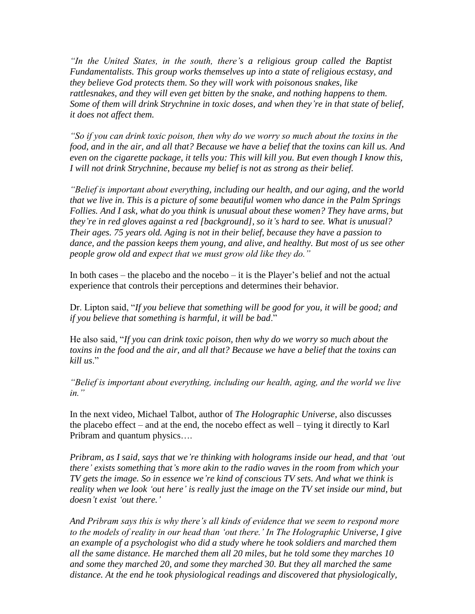*"In the United States, in the south, there"s a religious group called the Baptist Fundamentalists. This group works themselves up into a state of religious ecstasy, and they believe God protects them. So they will work with poisonous snakes, like rattlesnakes, and they will even get bitten by the snake, and nothing happens to them. Some of them will drink Strychnine in toxic doses, and when they"re in that state of belief, it does not affect them.*

*"So if you can drink toxic poison, then why do we worry so much about the toxins in the food, and in the air, and all that? Because we have a belief that the toxins can kill us. And even on the cigarette package, it tells you: This will kill you. But even though I know this, I will not drink Strychnine, because my belief is not as strong as their belief.*

*"Belief is important about everything, including our health, and our aging, and the world that we live in. This is a picture of some beautiful women who dance in the Palm Springs Follies. And I ask, what do you think is unusual about these women? They have arms, but they"re in red gloves against a red [background], so it"s hard to see. What is unusual? Their ages. 75 years old. Aging is not in their belief, because they have a passion to dance, and the passion keeps them young, and alive, and healthy. But most of us see other people grow old and expect that we must grow old like they do."*

In both cases – the placebo and the nocebo – it is the Player's belief and not the actual experience that controls their perceptions and determines their behavior.

Dr. Lipton said, "*If you believe that something will be good for you, it will be good; and if you believe that something is harmful, it will be bad*."

He also said, "*If you can drink toxic poison, then why do we worry so much about the toxins in the food and the air, and all that? Because we have a belief that the toxins can kill us*."

*"Belief is important about everything, including our health, aging, and the world we live in."*

In the next video, Michael Talbot, author of *The Holographic Universe*, also discusses the placebo effect – and at the end, the nocebo effect as well – tying it directly to Karl Pribram and quantum physics….

*Pribram, as I said, says that we"re thinking with holograms inside our head, and that "out there" exists something that"s more akin to the radio waves in the room from which your TV gets the image. So in essence we"re kind of conscious TV sets. And what we think is reality when we look "out here" is really just the image on the TV set inside our mind, but doesn"t exist "out there."*

*And Pribram says this is why there"s all kinds of evidence that we seem to respond more to the models of reality in our head than "out there." In The Holographic Universe, I give an example of a psychologist who did a study where he took soldiers and marched them all the same distance. He marched them all 20 miles, but he told some they marches 10 and some they marched 20, and some they marched 30. But they all marched the same distance. At the end he took physiological readings and discovered that physiologically,*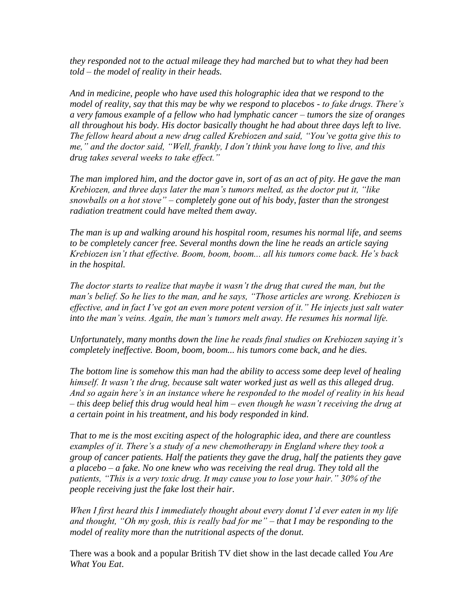*they responded not to the actual mileage they had marched but to what they had been told – the model of reality in their heads.* 

*And in medicine, people who have used this holographic idea that we respond to the model of reality, say that this may be why we respond to placebos - to fake drugs. There"s a very famous example of a fellow who had lymphatic cancer – tumors the size of oranges all throughout his body. His doctor basically thought he had about three days left to live. The fellow heard about a new drug called Krebiozen and said, "You"ve gotta give this to me," and the doctor said, "Well, frankly, I don"t think you have long to live, and this drug takes several weeks to take effect."*

*The man implored him, and the doctor gave in, sort of as an act of pity. He gave the man Krebiozen, and three days later the man"s tumors melted, as the doctor put it, "like snowballs on a hot stove" – completely gone out of his body, faster than the strongest radiation treatment could have melted them away.* 

*The man is up and walking around his hospital room, resumes his normal life, and seems to be completely cancer free. Several months down the line he reads an article saying Krebiozen isn"t that effective. Boom, boom, boom... all his tumors come back. He"s back in the hospital.*

*The doctor starts to realize that maybe it wasn"t the drug that cured the man, but the man"s belief. So he lies to the man, and he says, "Those articles are wrong. Krebiozen is effective, and in fact I"ve got an even more potent version of it." He injects just salt water into the man"s veins. Again, the man"s tumors melt away. He resumes his normal life.*

*Unfortunately, many months down the line he reads final studies on Krebiozen saying it"s completely ineffective. Boom, boom, boom... his tumors come back, and he dies.*

*The bottom line is somehow this man had the ability to access some deep level of healing himself. It wasn"t the drug, because salt water worked just as well as this alleged drug. And so again here"s in an instance where he responded to the model of reality in his head – this deep belief this drug would heal him – even though he wasn"t receiving the drug at a certain point in his treatment, and his body responded in kind.*

*That to me is the most exciting aspect of the holographic idea, and there are countless examples of it. There"s a study of a new chemotherapy in England where they took a group of cancer patients. Half the patients they gave the drug, half the patients they gave a placebo – a fake. No one knew who was receiving the real drug. They told all the patients, "This is a very toxic drug. It may cause you to lose your hair." 30% of the people receiving just the fake lost their hair.*

*When I first heard this I immediately thought about every donut I"d ever eaten in my life and thought, "Oh my gosh, this is really bad for me" – that I may be responding to the model of reality more than the nutritional aspects of the donut.*

There was a book and a popular British TV diet show in the last decade called *You Are What You Eat*.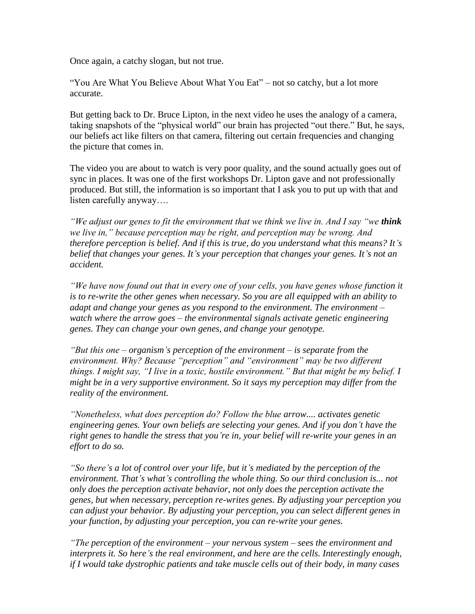Once again, a catchy slogan, but not true.

"You Are What You Believe About What You Eat" – not so catchy, but a lot more accurate.

But getting back to Dr. Bruce Lipton, in the next video he uses the analogy of a camera, taking snapshots of the "physical world" our brain has projected "out there." But, he says, our beliefs act like filters on that camera, filtering out certain frequencies and changing the picture that comes in.

The video you are about to watch is very poor quality, and the sound actually goes out of sync in places. It was one of the first workshops Dr. Lipton gave and not professionally produced. But still, the information is so important that I ask you to put up with that and listen carefully anyway….

*"We adjust our genes to fit the environment that we think we live in. And I say "we think*" *we live in," because perception may be right, and perception may be wrong. And therefore perception is belief. And if this is true, do you understand what this means? It"s belief that changes your genes. It's your perception that changes your genes. It's not an accident.*

*"We have now found out that in every one of your cells, you have genes whose function it is to re-write the other genes when necessary. So you are all equipped with an ability to adapt and change your genes as you respond to the environment. The environment – watch where the arrow goes – the environmental signals activate genetic engineering genes. They can change your own genes, and change your genotype.*

*"But this one – organism"s perception of the environment – is separate from the environment. Why? Because "perception" and "environment" may be two different things. I might say, "I live in a toxic, hostile environment." But that might be my belief. I might be in a very supportive environment. So it says my perception may differ from the reality of the environment.*

*"Nonetheless, what does perception do? Follow the blue arrow.... activates genetic engineering genes. Your own beliefs are selecting your genes. And if you don"t have the right genes to handle the stress that you"re in, your belief will re-write your genes in an effort to do so.*

*"So there"s a lot of control over your life, but it"s mediated by the perception of the environment. That"s what"s controlling the whole thing. So our third conclusion is... not only does the perception activate behavior, not only does the perception activate the genes, but when necessary, perception re-writes genes. By adjusting your perception you can adjust your behavior. By adjusting your perception, you can select different genes in your function, by adjusting your perception, you can re-write your genes.*

*"The perception of the environment – your nervous system – sees the environment and interprets it. So here"s the real environment, and here are the cells. Interestingly enough, if I would take dystrophic patients and take muscle cells out of their body, in many cases*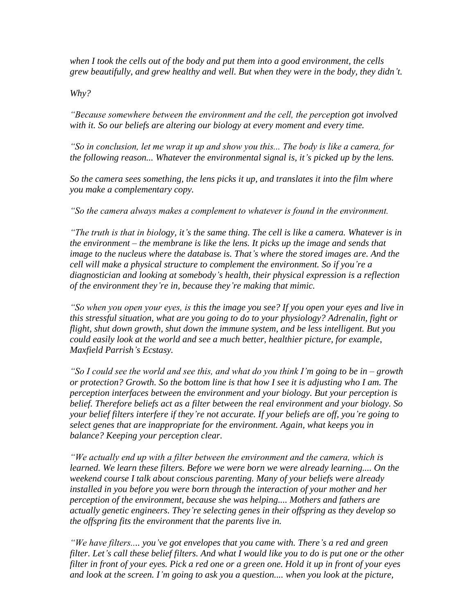*when I took the cells out of the body and put them into a good environment, the cells grew beautifully, and grew healthy and well. But when they were in the body, they didn"t.*

*Why?*

*"Because somewhere between the environment and the cell, the perception got involved with it. So our beliefs are altering our biology at every moment and every time.*

*"So in conclusion, let me wrap it up and show you this... The body is like a camera, for the following reason... Whatever the environmental signal is, it"s picked up by the lens.*

*So the camera sees something, the lens picks it up, and translates it into the film where you make a complementary copy.*

*"So the camera always makes a complement to whatever is found in the environment.*

*"The truth is that in biology, it"s the same thing. The cell is like a camera. Whatever is in the environment – the membrane is like the lens. It picks up the image and sends that image to the nucleus where the database is. That"s where the stored images are. And the cell will make a physical structure to complement the environment. So if you"re a diagnostician and looking at somebody"s health, their physical expression is a reflection of the environment they"re in, because they"re making that mimic.*

*"So when you open your eyes, is this the image you see? If you open your eyes and live in this stressful situation, what are you going to do to your physiology? Adrenalin, fight or flight, shut down growth, shut down the immune system, and be less intelligent. But you could easily look at the world and see a much better, healthier picture, for example*, *Maxfield Parrish"s Ecstasy.*

*"So I could see the world and see this, and what do you think I"m going to be in – growth or protection? Growth. So the bottom line is that how I see it is adjusting who I am. The perception interfaces between the environment and your biology. But your perception is belief. Therefore beliefs act as a filter between the real environment and your biology. So your belief filters interfere if they"re not accurate. If your beliefs are off, you"re going to select genes that are inappropriate for the environment. Again, what keeps you in balance? Keeping your perception clear.*

*"We actually end up with a filter between the environment and the camera, which is learned. We learn these filters. Before we were born we were already learning.... On the weekend course I talk about conscious parenting. Many of your beliefs were already installed in you before you were born through the interaction of your mother and her perception of the environment, because she was helping.... Mothers and fathers are actually genetic engineers. They"re selecting genes in their offspring as they develop so the offspring fits the environment that the parents live in.*

*"We have filters.... you've got envelopes that you came with. There's a red and green filter. Let"s call these belief filters. And what I would like you to do is put one or the other filter in front of your eyes. Pick a red one or a green one. Hold it up in front of your eyes and look at the screen. I"m going to ask you a question.... when you look at the picture,*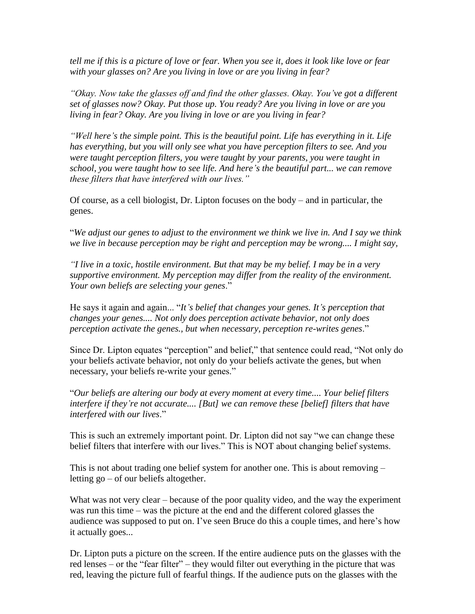*tell me if this is a picture of love or fear. When you see it, does it look like love or fear with your glasses on? Are you living in love or are you living in fear?*

*"Okay. Now take the glasses off and find the other glasses. Okay. You"ve got a different set of glasses now? Okay. Put those up. You ready? Are you living in love or are you living in fear? Okay. Are you living in love or are you living in fear?*

*"Well here"s the simple point. This is the beautiful point. Life has everything in it. Life has everything, but you will only see what you have perception filters to see. And you were taught perception filters, you were taught by your parents, you were taught in school, you were taught how to see life. And here"s the beautiful part... we can remove these filters that have interfered with our lives."*

Of course, as a cell biologist, Dr. Lipton focuses on the body – and in particular, the genes.

"*We adjust our genes to adjust to the environment we think we live in. And I say we think we live in because perception may be right and perception may be wrong.... I might say,*

*"I live in a toxic, hostile environment. But that may be my belief. I may be in a very supportive environment. My perception may differ from the reality of the environment. Your own beliefs are selecting your genes*."

He says it again and again... "*It"s belief that changes your genes. It"s perception that changes your genes.... Not only does perception activate behavior, not only does perception activate the genes., but when necessary, perception re-writes genes*."

Since Dr. Lipton equates "perception" and belief," that sentence could read, "Not only do your beliefs activate behavior, not only do your beliefs activate the genes, but when necessary, your beliefs re-write your genes."

"*Our beliefs are altering our body at every moment at every time.... Your belief filters interfere if they"re not accurate.... [But] we can remove these [belief] filters that have interfered with our lives*."

This is such an extremely important point. Dr. Lipton did not say "we can change these belief filters that interfere with our lives." This is NOT about changing belief systems.

This is not about trading one belief system for another one. This is about removing – letting go – of our beliefs altogether.

What was not very clear – because of the poor quality video, and the way the experiment was run this time – was the picture at the end and the different colored glasses the audience was supposed to put on. I've seen Bruce do this a couple times, and here's how it actually goes...

Dr. Lipton puts a picture on the screen. If the entire audience puts on the glasses with the red lenses – or the "fear filter" – they would filter out everything in the picture that was red, leaving the picture full of fearful things. If the audience puts on the glasses with the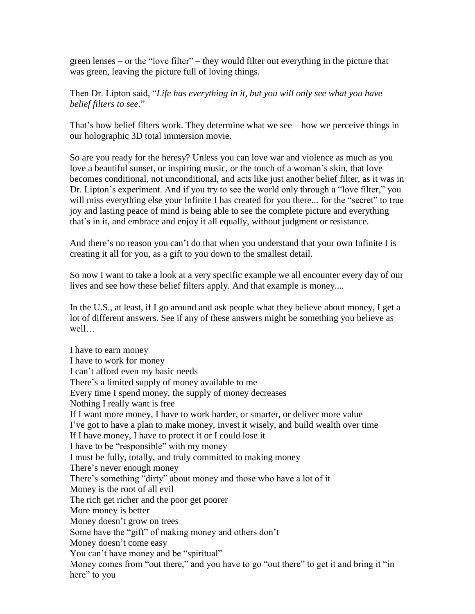green lenses – or the "love filter" – they would filter out everything in the picture that was green, leaving the picture full of loving things.

Then Dr. Lipton said, "*Life has everything in it, but you will only see what you have belief filters to see*."

That's how belief filters work. They determine what we see – how we perceive things in our holographic 3D total immersion movie.

So are you ready for the heresy? Unless you can love war and violence as much as you love a beautiful sunset, or inspiring music, or the touch of a woman's skin, that love becomes conditional, not unconditional, and acts like just another belief filter, as it was in Dr. Lipton"s experiment. And if you try to see the world only through a "love filter," you will miss everything else your Infinite I has created for you there... for the "secret" to true joy and lasting peace of mind is being able to see the complete picture and everything that"s in it, and embrace and enjoy it all equally, without judgment or resistance.

And there's no reason you can't do that when you understand that your own Infinite I is creating it all for you, as a gift to you down to the smallest detail.

So now I want to take a look at a very specific example we all encounter every day of our lives and see how these belief filters apply. And that example is money....

In the U.S., at least, if I go around and ask people what they believe about money, I get a lot of different answers. See if any of these answers might be something you believe as well…

I have to earn money I have to work for money I can"t afford even my basic needs There's a limited supply of money available to me Every time I spend money, the supply of money decreases Nothing I really want is free If I want more money, I have to work harder, or smarter, or deliver more value I"ve got to have a plan to make money, invest it wisely, and build wealth over time If I have money, I have to protect it or I could lose it I have to be "responsible" with my money I must be fully, totally, and truly committed to making money There's never enough money There's something "dirty" about money and those who have a lot of it Money is the root of all evil The rich get richer and the poor get poorer More money is better Money doesn"t grow on trees Some have the "gift" of making money and others don"t Money doesn"t come easy You can't have money and be "spiritual" Money comes from "out there," and you have to go "out there" to get it and bring it "in here" to you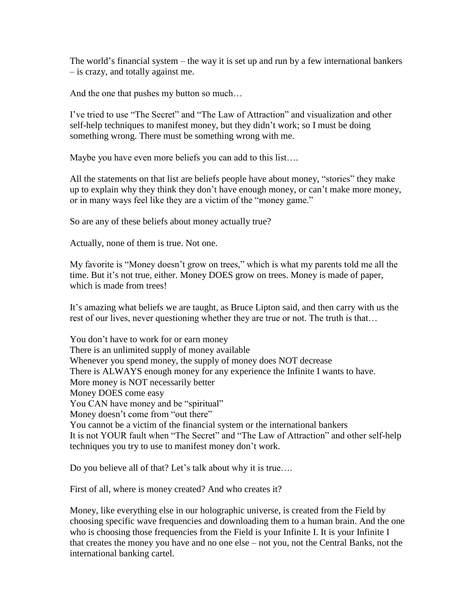The world"s financial system – the way it is set up and run by a few international bankers – is crazy, and totally against me.

And the one that pushes my button so much…

I"ve tried to use "The Secret" and "The Law of Attraction" and visualization and other self-help techniques to manifest money, but they didn"t work; so I must be doing something wrong. There must be something wrong with me.

Maybe you have even more beliefs you can add to this list….

All the statements on that list are beliefs people have about money, "stories" they make up to explain why they think they don"t have enough money, or can"t make more money, or in many ways feel like they are a victim of the "money game."

So are any of these beliefs about money actually true?

Actually, none of them is true. Not one.

My favorite is "Money doesn"t grow on trees," which is what my parents told me all the time. But it's not true, either. Money DOES grow on trees. Money is made of paper, which is made from trees!

It"s amazing what beliefs we are taught, as Bruce Lipton said, and then carry with us the rest of our lives, never questioning whether they are true or not. The truth is that…

You don"t have to work for or earn money There is an unlimited supply of money available Whenever you spend money, the supply of money does NOT decrease There is ALWAYS enough money for any experience the Infinite I wants to have. More money is NOT necessarily better Money DOES come easy You CAN have money and be "spiritual" Money doesn't come from "out there" You cannot be a victim of the financial system or the international bankers It is not YOUR fault when "The Secret" and "The Law of Attraction" and other self-help techniques you try to use to manifest money don"t work.

Do you believe all of that? Let's talk about why it is true....

First of all, where is money created? And who creates it?

Money, like everything else in our holographic universe, is created from the Field by choosing specific wave frequencies and downloading them to a human brain. And the one who is choosing those frequencies from the Field is your Infinite I. It is your Infinite I that creates the money you have and no one else – not you, not the Central Banks, not the international banking cartel.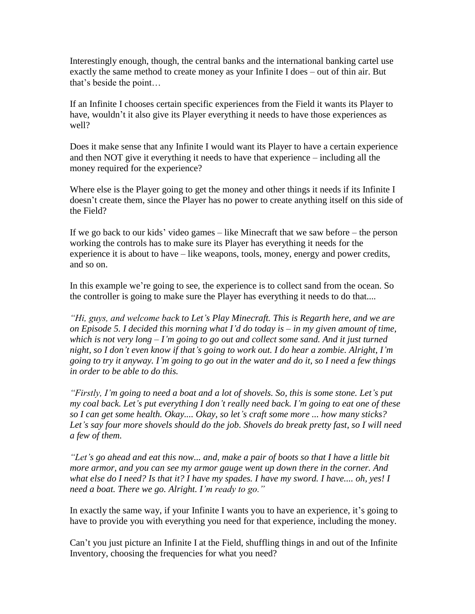Interestingly enough, though, the central banks and the international banking cartel use exactly the same method to create money as your Infinite I does – out of thin air. But that"s beside the point…

If an Infinite I chooses certain specific experiences from the Field it wants its Player to have, wouldn't it also give its Player everything it needs to have those experiences as well?

Does it make sense that any Infinite I would want its Player to have a certain experience and then NOT give it everything it needs to have that experience – including all the money required for the experience?

Where else is the Player going to get the money and other things it needs if its Infinite I doesn"t create them, since the Player has no power to create anything itself on this side of the Field?

If we go back to our kids" video games – like Minecraft that we saw before – the person working the controls has to make sure its Player has everything it needs for the experience it is about to have – like weapons, tools, money, energy and power credits, and so on.

In this example we"re going to see, the experience is to collect sand from the ocean. So the controller is going to make sure the Player has everything it needs to do that....

*"Hi, guys, and welcome back to Let"s Play Minecraft. This is Regarth here, and we are on Episode 5. I decided this morning what I"d do today is – in my given amount of time, which is not very long – I"m going to go out and collect some sand. And it just turned night, so I don"t even know if that"s going to work out. I do hear a zombie. Alright, I"m going to try it anyway. I"m going to go out in the water and do it, so I need a few things in order to be able to do this.*

*"Firstly, I"m going to need a boat and a lot of shovels. So, this is some stone. Let"s put my coal back. Let"s put everything I don"t really need back. I"m going to eat one of these so I can get some health. Okay.... Okay, so let"s craft some more ... how many sticks? Let"s say four more shovels should do the job. Shovels do break pretty fast, so I will need a few of them.*

*"Let"s go ahead and eat this now... and, make a pair of boots so that I have a little bit more armor, and you can see my armor gauge went up down there in the corner. And what else do I need? Is that it? I have my spades. I have my sword. I have.... oh, yes! I need a boat. There we go. Alright. I"m ready to go."*

In exactly the same way, if your Infinite I wants you to have an experience, it's going to have to provide you with everything you need for that experience, including the money.

Can"t you just picture an Infinite I at the Field, shuffling things in and out of the Infinite Inventory, choosing the frequencies for what you need?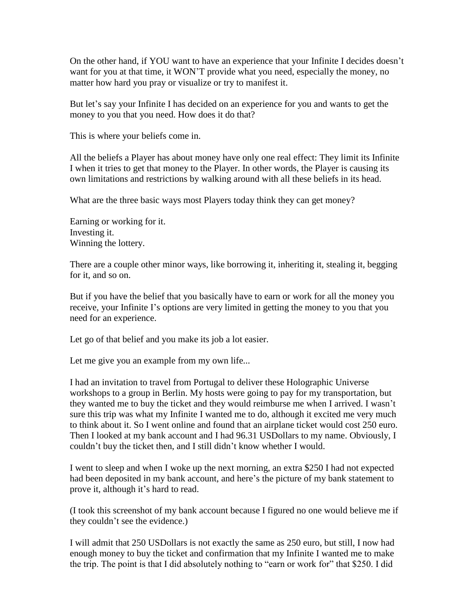On the other hand, if YOU want to have an experience that your Infinite I decides doesn"t want for you at that time, it WON"T provide what you need, especially the money, no matter how hard you pray or visualize or try to manifest it.

But let's say your Infinite I has decided on an experience for you and wants to get the money to you that you need. How does it do that?

This is where your beliefs come in.

All the beliefs a Player has about money have only one real effect: They limit its Infinite I when it tries to get that money to the Player. In other words, the Player is causing its own limitations and restrictions by walking around with all these beliefs in its head.

What are the three basic ways most Players today think they can get money?

Earning or working for it. Investing it. Winning the lottery.

There are a couple other minor ways, like borrowing it, inheriting it, stealing it, begging for it, and so on.

But if you have the belief that you basically have to earn or work for all the money you receive, your Infinite I's options are very limited in getting the money to you that you need for an experience.

Let go of that belief and you make its job a lot easier.

Let me give you an example from my own life...

I had an invitation to travel from Portugal to deliver these Holographic Universe workshops to a group in Berlin. My hosts were going to pay for my transportation, but they wanted me to buy the ticket and they would reimburse me when I arrived. I wasn"t sure this trip was what my Infinite I wanted me to do, although it excited me very much to think about it. So I went online and found that an airplane ticket would cost 250 euro. Then I looked at my bank account and I had 96.31 USDollars to my name. Obviously, I couldn"t buy the ticket then, and I still didn"t know whether I would.

I went to sleep and when I woke up the next morning, an extra \$250 I had not expected had been deposited in my bank account, and here's the picture of my bank statement to prove it, although it's hard to read.

(I took this screenshot of my bank account because I figured no one would believe me if they couldn"t see the evidence.)

I will admit that 250 USDollars is not exactly the same as 250 euro, but still, I now had enough money to buy the ticket and confirmation that my Infinite I wanted me to make the trip. The point is that I did absolutely nothing to "earn or work for" that \$250. I did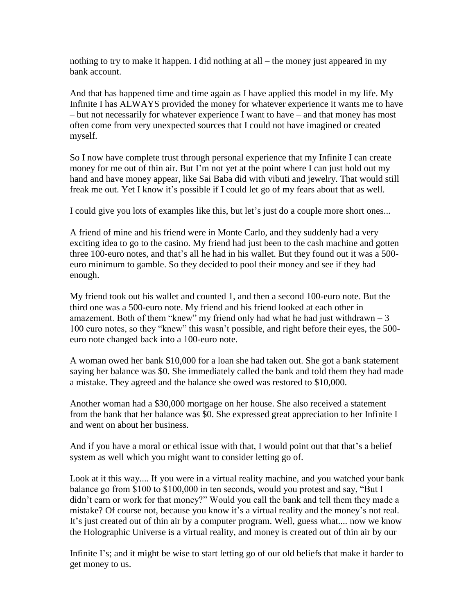nothing to try to make it happen. I did nothing at all – the money just appeared in my bank account.

And that has happened time and time again as I have applied this model in my life. My Infinite I has ALWAYS provided the money for whatever experience it wants me to have – but not necessarily for whatever experience I want to have – and that money has most often come from very unexpected sources that I could not have imagined or created myself.

So I now have complete trust through personal experience that my Infinite I can create money for me out of thin air. But I'm not yet at the point where I can just hold out my hand and have money appear, like Sai Baba did with vibuti and jewelry. That would still freak me out. Yet I know it's possible if I could let go of my fears about that as well.

I could give you lots of examples like this, but let's just do a couple more short ones...

A friend of mine and his friend were in Monte Carlo, and they suddenly had a very exciting idea to go to the casino. My friend had just been to the cash machine and gotten three 100-euro notes, and that's all he had in his wallet. But they found out it was a 500euro minimum to gamble. So they decided to pool their money and see if they had enough.

My friend took out his wallet and counted 1, and then a second 100-euro note. But the third one was a 500-euro note. My friend and his friend looked at each other in amazement. Both of them "knew" my friend only had what he had just withdrawn  $-3$ 100 euro notes, so they "knew" this wasn"t possible, and right before their eyes, the 500 euro note changed back into a 100-euro note.

A woman owed her bank \$10,000 for a loan she had taken out. She got a bank statement saying her balance was \$0. She immediately called the bank and told them they had made a mistake. They agreed and the balance she owed was restored to \$10,000.

Another woman had a \$30,000 mortgage on her house. She also received a statement from the bank that her balance was \$0. She expressed great appreciation to her Infinite I and went on about her business.

And if you have a moral or ethical issue with that, I would point out that that's a belief system as well which you might want to consider letting go of.

Look at it this way.... If you were in a virtual reality machine, and you watched your bank balance go from \$100 to \$100,000 in ten seconds, would you protest and say, "But I didn"t earn or work for that money?" Would you call the bank and tell them they made a mistake? Of course not, because you know it's a virtual reality and the money's not real. It's just created out of thin air by a computer program. Well, guess what.... now we know the Holographic Universe is a virtual reality, and money is created out of thin air by our

Infinite I's; and it might be wise to start letting go of our old beliefs that make it harder to get money to us.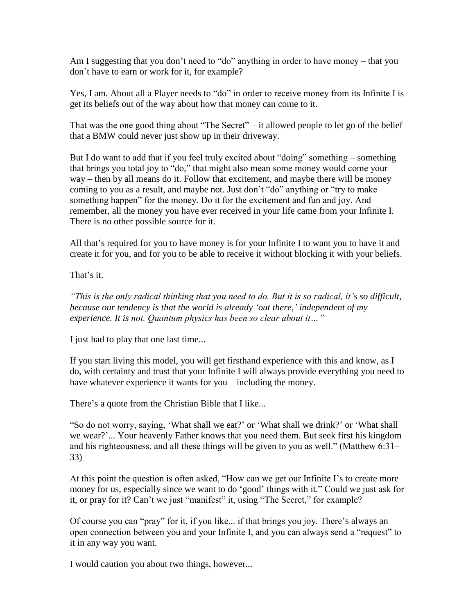Am I suggesting that you don't need to "do" anything in order to have money – that you don"t have to earn or work for it, for example?

Yes, I am. About all a Player needs to "do" in order to receive money from its Infinite I is get its beliefs out of the way about how that money can come to it.

That was the one good thing about "The Secret" – it allowed people to let go of the belief that a BMW could never just show up in their driveway.

But I do want to add that if you feel truly excited about "doing" something – something that brings you total joy to "do," that might also mean some money would come your way – then by all means do it. Follow that excitement, and maybe there will be money coming to you as a result, and maybe not. Just don"t "do" anything or "try to make something happen" for the money. Do it for the excitement and fun and joy. And remember, all the money you have ever received in your life came from your Infinite I. There is no other possible source for it.

All that's required for you to have money is for your Infinite I to want you to have it and create it for you, and for you to be able to receive it without blocking it with your beliefs.

That's it.

*"This is the only radical thinking that you need to do. But it is so radical, it"s so difficult, because our tendency is that the world is already "out there," independent of my experience. It is not. Quantum physics has been so clear about it…"*

I just had to play that one last time...

If you start living this model, you will get firsthand experience with this and know, as I do, with certainty and trust that your Infinite I will always provide everything you need to have whatever experience it wants for you – including the money.

There's a quote from the Christian Bible that I like...

"So do not worry, saying, "What shall we eat?" or "What shall we drink?" or "What shall we wear?"... Your heavenly Father knows that you need them. But seek first his kingdom and his righteousness, and all these things will be given to you as well." (Matthew 6:31– 33)

At this point the question is often asked, "How can we get our Infinite I"s to create more money for us, especially since we want to do "good" things with it." Could we just ask for it, or pray for it? Can"t we just "manifest" it, using "The Secret," for example?

Of course you can "pray" for it, if you like... if that brings you joy. There"s always an open connection between you and your Infinite I, and you can always send a "request" to it in any way you want.

I would caution you about two things, however...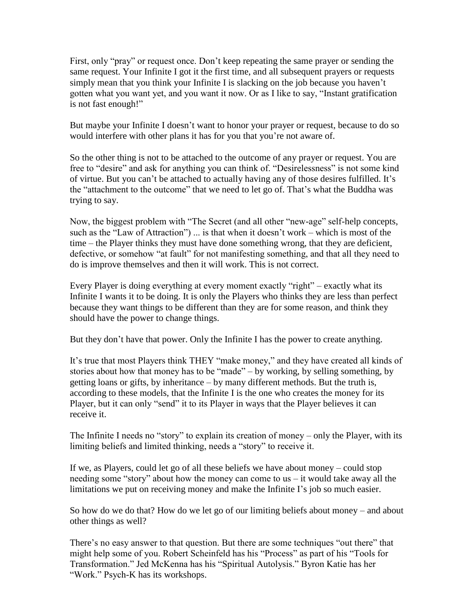First, only "pray" or request once. Don"t keep repeating the same prayer or sending the same request. Your Infinite I got it the first time, and all subsequent prayers or requests simply mean that you think your Infinite I is slacking on the job because you haven"t gotten what you want yet, and you want it now. Or as I like to say, "Instant gratification is not fast enough!"

But maybe your Infinite I doesn"t want to honor your prayer or request, because to do so would interfere with other plans it has for you that you"re not aware of.

So the other thing is not to be attached to the outcome of any prayer or request. You are free to "desire" and ask for anything you can think of. "Desirelessness" is not some kind of virtue. But you can't be attached to actually having any of those desires fulfilled. It's the "attachment to the outcome" that we need to let go of. That"s what the Buddha was trying to say.

Now, the biggest problem with "The Secret (and all other "new-age" self-help concepts, such as the "Law of Attraction") ... is that when it doesn't work – which is most of the time – the Player thinks they must have done something wrong, that they are deficient, defective, or somehow "at fault" for not manifesting something, and that all they need to do is improve themselves and then it will work. This is not correct.

Every Player is doing everything at every moment exactly "right" – exactly what its Infinite I wants it to be doing. It is only the Players who thinks they are less than perfect because they want things to be different than they are for some reason, and think they should have the power to change things.

But they don"t have that power. Only the Infinite I has the power to create anything.

It's true that most Players think THEY "make money," and they have created all kinds of stories about how that money has to be "made" – by working, by selling something, by getting loans or gifts, by inheritance – by many different methods. But the truth is, according to these models, that the Infinite I is the one who creates the money for its Player, but it can only "send" it to its Player in ways that the Player believes it can receive it.

The Infinite I needs no "story" to explain its creation of money – only the Player, with its limiting beliefs and limited thinking, needs a "story" to receive it.

If we, as Players, could let go of all these beliefs we have about money – could stop needing some "story" about how the money can come to us – it would take away all the limitations we put on receiving money and make the Infinite I's job so much easier.

So how do we do that? How do we let go of our limiting beliefs about money – and about other things as well?

There's no easy answer to that question. But there are some techniques "out there" that might help some of you. Robert Scheinfeld has his "Process" as part of his "Tools for Transformation." Jed McKenna has his "Spiritual Autolysis." Byron Katie has her "Work." Psych-K has its workshops.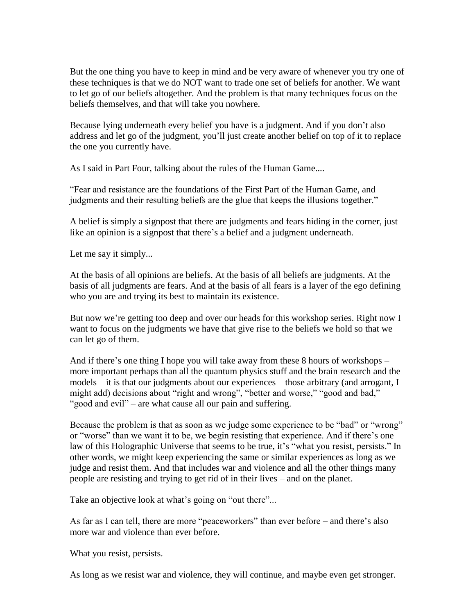But the one thing you have to keep in mind and be very aware of whenever you try one of these techniques is that we do NOT want to trade one set of beliefs for another. We want to let go of our beliefs altogether. And the problem is that many techniques focus on the beliefs themselves, and that will take you nowhere.

Because lying underneath every belief you have is a judgment. And if you don't also address and let go of the judgment, you"ll just create another belief on top of it to replace the one you currently have.

As I said in Part Four, talking about the rules of the Human Game....

"Fear and resistance are the foundations of the First Part of the Human Game, and judgments and their resulting beliefs are the glue that keeps the illusions together."

A belief is simply a signpost that there are judgments and fears hiding in the corner, just like an opinion is a signpost that there's a belief and a judgment underneath.

Let me say it simply...

At the basis of all opinions are beliefs. At the basis of all beliefs are judgments. At the basis of all judgments are fears. And at the basis of all fears is a layer of the ego defining who you are and trying its best to maintain its existence.

But now we're getting too deep and over our heads for this workshop series. Right now I want to focus on the judgments we have that give rise to the beliefs we hold so that we can let go of them.

And if there"s one thing I hope you will take away from these 8 hours of workshops – more important perhaps than all the quantum physics stuff and the brain research and the models – it is that our judgments about our experiences – those arbitrary (and arrogant, I might add) decisions about "right and wrong", "better and worse," "good and bad," "good and evil" – are what cause all our pain and suffering.

Because the problem is that as soon as we judge some experience to be "bad" or "wrong" or "worse" than we want it to be, we begin resisting that experience. And if there"s one law of this Holographic Universe that seems to be true, it's "what you resist, persists." In other words, we might keep experiencing the same or similar experiences as long as we judge and resist them. And that includes war and violence and all the other things many people are resisting and trying to get rid of in their lives – and on the planet.

Take an objective look at what's going on "out there"...

As far as I can tell, there are more "peaceworkers" than ever before – and there's also more war and violence than ever before.

What you resist, persists.

As long as we resist war and violence, they will continue, and maybe even get stronger.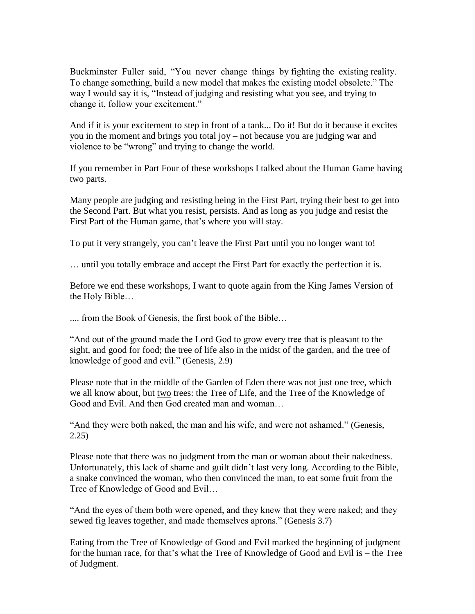Buckminster Fuller said, "You never change things by fighting the existing reality. To change something, build a new model that makes the existing model obsolete." The way I would say it is, "Instead of judging and resisting what you see, and trying to change it, follow your excitement."

And if it is your excitement to step in front of a tank... Do it! But do it because it excites you in the moment and brings you total joy – not because you are judging war and violence to be "wrong" and trying to change the world.

If you remember in Part Four of these workshops I talked about the Human Game having two parts.

Many people are judging and resisting being in the First Part, trying their best to get into the Second Part. But what you resist, persists. And as long as you judge and resist the First Part of the Human game, that's where you will stay.

To put it very strangely, you can"t leave the First Part until you no longer want to!

… until you totally embrace and accept the First Part for exactly the perfection it is.

Before we end these workshops, I want to quote again from the King James Version of the Holy Bible…

.... from the Book of Genesis, the first book of the Bible…

"And out of the ground made the Lord God to grow every tree that is pleasant to the sight, and good for food; the tree of life also in the midst of the garden, and the tree of knowledge of good and evil." (Genesis, 2.9)

Please note that in the middle of the Garden of Eden there was not just one tree, which we all know about, but two trees: the Tree of Life, and the Tree of the Knowledge of Good and Evil. And then God created man and woman…

"And they were both naked, the man and his wife, and were not ashamed." (Genesis, 2.25)

Please note that there was no judgment from the man or woman about their nakedness. Unfortunately, this lack of shame and guilt didn"t last very long. According to the Bible, a snake convinced the woman, who then convinced the man, to eat some fruit from the Tree of Knowledge of Good and Evil…

"And the eyes of them both were opened, and they knew that they were naked; and they sewed fig leaves together, and made themselves aprons." (Genesis 3.7)

Eating from the Tree of Knowledge of Good and Evil marked the beginning of judgment for the human race, for that"s what the Tree of Knowledge of Good and Evil is – the Tree of Judgment.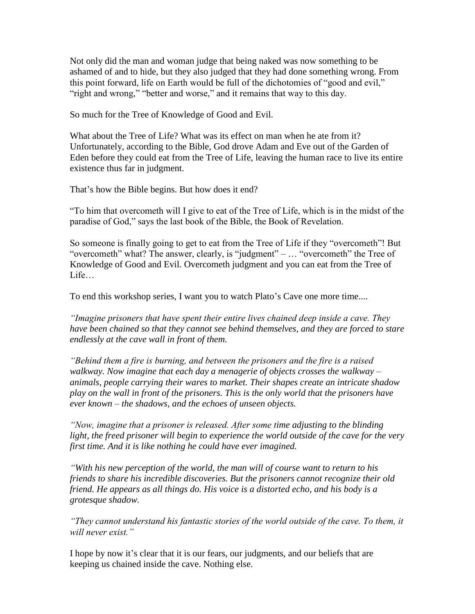Not only did the man and woman judge that being naked was now something to be ashamed of and to hide, but they also judged that they had done something wrong. From this point forward, life on Earth would be full of the dichotomies of "good and evil," "right and wrong," "better and worse," and it remains that way to this day.

So much for the Tree of Knowledge of Good and Evil.

What about the Tree of Life? What was its effect on man when he ate from it? Unfortunately, according to the Bible, God drove Adam and Eve out of the Garden of Eden before they could eat from the Tree of Life, leaving the human race to live its entire existence thus far in judgment.

That's how the Bible begins. But how does it end?

"To him that overcometh will I give to eat of the Tree of Life, which is in the midst of the paradise of God," says the last book of the Bible, the Book of Revelation.

So someone is finally going to get to eat from the Tree of Life if they "overcometh"! But "overcometh" what? The answer, clearly, is "judgment" – … "overcometh" the Tree of Knowledge of Good and Evil. Overcometh judgment and you can eat from the Tree of Life

To end this workshop series, I want you to watch Plato's Cave one more time....

*"Imagine prisoners that have spent their entire lives chained deep inside a cave. They have been chained so that they cannot see behind themselves, and they are forced to stare endlessly at the cave wall in front of them.*

*"Behind them a fire is burning, and between the prisoners and the fire is a raised walkway. Now imagine that each day a menagerie of objects crosses the walkway – animals, people carrying their wares to market. Their shapes create an intricate shadow play on the wall in front of the prisoners. This is the only world that the prisoners have ever known – the shadows, and the echoes of unseen objects.*

*"Now, imagine that a prisoner is released. After some time adjusting to the blinding light, the freed prisoner will begin to experience the world outside of the cave for the very first time. And it is like nothing he could have ever imagined.*

*"With his new perception of the world, the man will of course want to return to his friends to share his incredible discoveries. But the prisoners cannot recognize their old friend. He appears as all things do. His voice is a distorted echo, and his body is a grotesque shadow.*

*"They cannot understand his fantastic stories of the world outside of the cave. To them, it will never exist."*

I hope by now it's clear that it is our fears, our judgments, and our beliefs that are keeping us chained inside the cave. Nothing else.